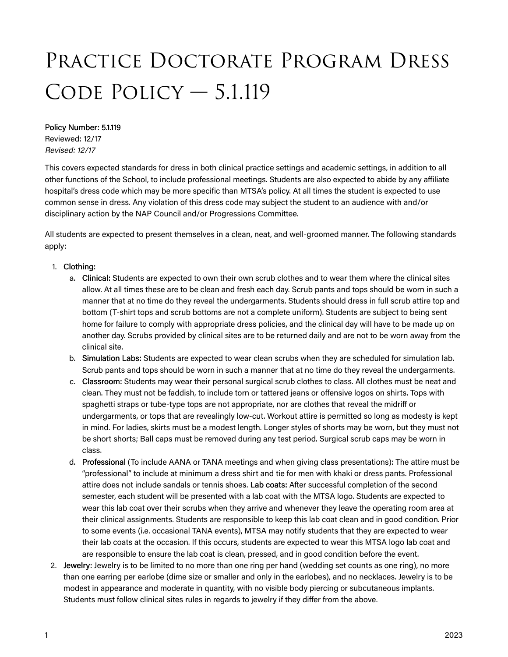## Practice Doctorate Program Dress CODE POLICY - 5.1.119

## Policy Number: 5.1.119

Reviewed: 12/17 Revised: 12/17

This covers expected standards for dress in both clinical practice settings and academic settings, in addition to all other functions of the School, to include professional meetings. Students are also expected to abide by any affiliate hospital's dress code which may be more specific than MTSA's policy. At all times the student is expected to use common sense in dress. Any violation of this dress code may subject the student to an audience with and/or disciplinary action by the NAP Council and/or Progressions Committee.

All students are expected to present themselves in a clean, neat, and well-groomed manner. The following standards apply:

## 1. Clothing:

- a. Clinical: Students are expected to own their own scrub clothes and to wear them where the clinical sites allow. At all times these are to be clean and fresh each day. Scrub pants and tops should be worn in such a manner that at no time do they reveal the undergarments. Students should dress in full scrub attire top and bottom (T-shirt tops and scrub bottoms are not a complete uniform). Students are subject to being sent home for failure to comply with appropriate dress policies, and the clinical day will have to be made up on another day. Scrubs provided by clinical sites are to be returned daily and are not to be worn away from the clinical site.
- b. Simulation Labs: Students are expected to wear clean scrubs when they are scheduled for simulation lab. Scrub pants and tops should be worn in such a manner that at no time do they reveal the undergarments.
- c. Classroom: Students may wear their personal surgical scrub clothes to class. All clothes must be neat and clean. They must not be faddish, to include torn or tattered jeans or offensive logos on shirts. Tops with spaghetti straps or tube-type tops are not appropriate, nor are clothes that reveal the midriff or undergarments, or tops that are revealingly low-cut. Workout attire is permitted so long as modesty is kept in mind. For ladies, skirts must be a modest length. Longer styles of shorts may be worn, but they must not be short shorts; Ball caps must be removed during any test period. Surgical scrub caps may be worn in class.
- d. Professional (To include AANA or TANA meetings and when giving class presentations): The attire must be "professional" to include at minimum a dress shirt and tie for men with khaki or dress pants. Professional attire does not include sandals or tennis shoes. Lab coats: After successful completion of the second semester, each student will be presented with a lab coat with the MTSA logo. Students are expected to wear this lab coat over their scrubs when they arrive and whenever they leave the operating room area at their clinical assignments. Students are responsible to keep this lab coat clean and in good condition. Prior to some events (i.e. occasional TANA events), MTSA may notify students that they are expected to wear their lab coats at the occasion. If this occurs, students are expected to wear this MTSA logo lab coat and are responsible to ensure the lab coat is clean, pressed, and in good condition before the event.
- 2. Jewelry: Jewelry is to be limited to no more than one ring per hand (wedding set counts as one ring), no more than one earring per earlobe (dime size or smaller and only in the earlobes), and no necklaces. Jewelry is to be modest in appearance and moderate in quantity, with no visible body piercing or subcutaneous implants. Students must follow clinical sites rules in regards to jewelry if they differ from the above.